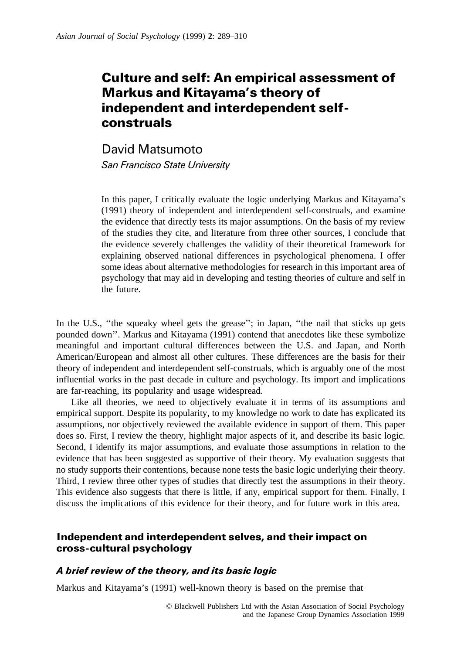# Culture and self: An empirical assessment of Markus and Kitayama's theory of independent and interdependent selfconstruals

David Matsumoto San Francisco State University

In this paper, I critically evaluate the logic underlying Markus and Kitayama's (1991) theory of independent and interdependent self-construals, and examine the evidence that directly tests its major assumptions. On the basis of my review of the studies they cite, and literature from three other sources, I conclude that the evidence severely challenges the validity of their theoretical framework for explaining observed national differences in psychological phenomena. I offer some ideas about alternative methodologies for research in this important area of psychology that may aid in developing and testing theories of culture and self in the future.

In the U.S., ''the squeaky wheel gets the grease''; in Japan, ''the nail that sticks up gets pounded down''. Markus and Kitayama (1991) contend that anecdotes like these symbolize meaningful and important cultural differences between the U.S. and Japan, and North American/European and almost all other cultures. These differences are the basis for their theory of independent and interdependent self-construals, which is arguably one of the most influential works in the past decade in culture and psychology. Its import and implications are far-reaching, its popularity and usage widespread.

Like all theories, we need to objectively evaluate it in terms of its assumptions and empirical support. Despite its popularity, to my knowledge no work to date has explicated its assumptions, nor objectively reviewed the available evidence in support of them. This paper does so. First, I review the theory, highlight major aspects of it, and describe its basic logic. Second, I identify its major assumptions, and evaluate those assumptions in relation to the evidence that has been suggested as supportive of their theory. My evaluation suggests that no study supports their contentions, because none tests the basic logic underlying their theory. Third, I review three other types of studies that directly test the assumptions in their theory. This evidence also suggests that there is little, if any, empirical support for them. Finally, I discuss the implications of this evidence for their theory, and for future work in this area.

## Independent and interdependent selves, and their impact on cross-cultural psychology

## A brief review of the theory, and its basic logic

Markus and Kitayama's (1991) well-known theory is based on the premise that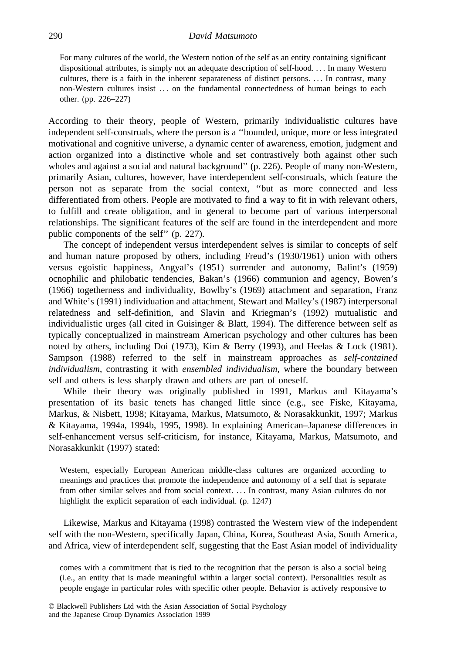For many cultures of the world, the Western notion of the self as an entity containing significant dispositional attributes, is simply not an adequate description of self-hood. . . . In many Western cultures, there is a faith in the inherent separateness of distinct persons. . . . In contrast, many non-Western cultures insist . . . on the fundamental connectedness of human beings to each other. (pp. 226–227)

According to their theory, people of Western, primarily individualistic cultures have independent self-construals, where the person is a ''bounded, unique, more or less integrated motivational and cognitive universe, a dynamic center of awareness, emotion, judgment and action organized into a distinctive whole and set contrastively both against other such wholes and against a social and natural background'' (p. 226). People of many non-Western, primarily Asian, cultures, however, have interdependent self-construals, which feature the person not as separate from the social context, ''but as more connected and less differentiated from others. People are motivated to find a way to fit in with relevant others, to fulfill and create obligation, and in general to become part of various interpersonal relationships. The significant features of the self are found in the interdependent and more public components of the self'' (p. 227).

The concept of independent versus interdependent selves is similar to concepts of self and human nature proposed by others, including Freud's (1930/1961) union with others versus egoistic happiness, Angyal's (1951) surrender and autonomy, Balint's (1959) ocnophilic and philobatic tendencies, Bakan's (1966) communion and agency, Bowen's (1966) togetherness and individuality, Bowlby's (1969) attachment and separation, Franz and White's (1991) individuation and attachment, Stewart and Malley's (1987) interpersonal relatedness and self-definition, and Slavin and Kriegman's (1992) mutualistic and individualistic urges (all cited in Guisinger & Blatt, 1994). The difference between self as typically conceptualized in mainstream American psychology and other cultures has been noted by others, including Doi (1973), Kim & Berry (1993), and Heelas & Lock (1981). Sampson (1988) referred to the self in mainstream approaches as *self-contained individualism*, contrasting it with *ensembled individualism*, where the boundary between self and others is less sharply drawn and others are part of oneself.

While their theory was originally published in 1991, Markus and Kitayama's presentation of its basic tenets has changed little since (e.g., see Fiske, Kitayama, Markus, & Nisbett, 1998; Kitayama, Markus, Matsumoto, & Norasakkunkit, 1997; Markus & Kitayama, 1994a, 1994b, 1995, 1998). In explaining American–Japanese differences in self-enhancement versus self-criticism, for instance, Kitayama, Markus, Matsumoto, and Norasakkunkit (1997) stated:

Western, especially European American middle-class cultures are organized according to meanings and practices that promote the independence and autonomy of a self that is separate from other similar selves and from social context. . . . In contrast, many Asian cultures do not highlight the explicit separation of each individual. (p. 1247)

Likewise, Markus and Kitayama (1998) contrasted the Western view of the independent self with the non-Western, specifically Japan, China, Korea, Southeast Asia, South America, and Africa, view of interdependent self, suggesting that the East Asian model of individuality

comes with a commitment that is tied to the recognition that the person is also a social being (i.e., an entity that is made meaningful within a larger social context). Personalities result as people engage in particular roles with specific other people. Behavior is actively responsive to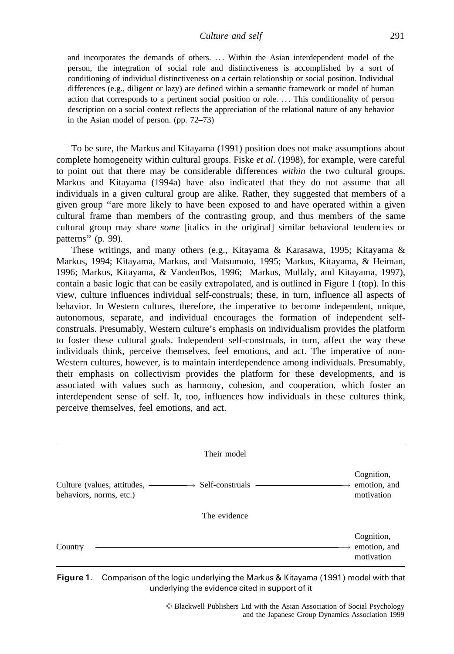and incorporates the demands of others. . . . Within the Asian interdependent model of the person, the integration of social role and distinctiveness is accomplished by a sort of conditioning of individual distinctiveness on a certain relationship or social position. Individual differences (e.g., diligent or lazy) are defined within a semantic framework or model of human action that corresponds to a pertinent social position or role. . . . This conditionality of person description on a social context reflects the appreciation of the relational nature of any behavior in the Asian model of person. (pp. 72–73)

To be sure, the Markus and Kitayama (1991) position does not make assumptions about complete homogeneity within cultural groups. Fiske *et al*. (1998), for example, were careful to point out that there may be considerable differences *within* the two cultural groups. Markus and Kitayama (1994a) have also indicated that they do not assume that all individuals in a given cultural group are alike. Rather, they suggested that members of a given group ''are more likely to have been exposed to and have operated within a given cultural frame than members of the contrasting group, and thus members of the same cultural group may share *some* [italics in the original] similar behavioral tendencies or patterns'' (p. 99).

These writings, and many others (e.g., Kitayama & Karasawa, 1995; Kitayama & Markus, 1994; Kitayama, Markus, and Matsumoto, 1995; Markus, Kitayama, & Heiman, 1996; Markus, Kitayama, & VandenBos, 1996; Markus, Mullaly, and Kitayama, 1997), contain a basic logic that can be easily extrapolated, and is outlined in Figure 1 (top). In this view, culture influences individual self-construals; these, in turn, influence all aspects of behavior. In Western cultures, therefore, the imperative to become independent, unique, autonomous, separate, and individual encourages the formation of independent selfconstruals. Presumably, Western culture's emphasis on individualism provides the platform to foster these cultural goals. Independent self-construals, in turn, affect the way these individuals think, perceive themselves, feel emotions, and act. The imperative of non-Western cultures, however, is to maintain interdependence among individuals. Presumably, their emphasis on collectivism provides the platform for these developments, and is associated with values such as harmony, cohesion, and cooperation, which foster an interdependent sense of self. It, too, influences how individuals in these cultures think, perceive themselves, feel emotions, and act.

| Their model                                                                                 |                                          |
|---------------------------------------------------------------------------------------------|------------------------------------------|
| Self-construals<br>Culture (values, attitudes, $\longrightarrow$<br>behaviors, norms, etc.) | Cognition,<br>emotion, and<br>motivation |
| The evidence                                                                                |                                          |
| Country                                                                                     | Cognition,<br>emotion, and<br>motivation |

Figure 1. Comparison of the logic underlying the Markus & Kitayama (1991) model with that underlying the evidence cited in support of it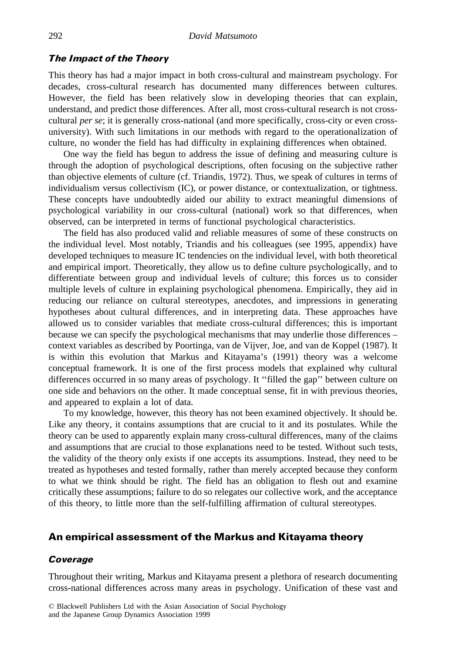#### The Impact of the Theory

This theory has had a major impact in both cross-cultural and mainstream psychology. For decades, cross-cultural research has documented many differences between cultures. However, the field has been relatively slow in developing theories that can explain, understand, and predict those differences. After all, most cross-cultural research is not crosscultural *per se*; it is generally cross-national (and more specifically, cross-city or even crossuniversity). With such limitations in our methods with regard to the operationalization of culture, no wonder the field has had difficulty in explaining differences when obtained.

One way the field has begun to address the issue of defining and measuring culture is through the adoption of psychological descriptions, often focusing on the subjective rather than objective elements of culture (cf. Triandis, 1972). Thus, we speak of cultures in terms of individualism versus collectivism (IC), or power distance, or contextualization, or tightness. These concepts have undoubtedly aided our ability to extract meaningful dimensions of psychological variability in our cross-cultural (national) work so that differences, when observed, can be interpreted in terms of functional psychological characteristics.

The field has also produced valid and reliable measures of some of these constructs on the individual level. Most notably, Triandis and his colleagues (see 1995, appendix) have developed techniques to measure IC tendencies on the individual level, with both theoretical and empirical import. Theoretically, they allow us to define culture psychologically, and to differentiate between group and individual levels of culture; this forces us to consider multiple levels of culture in explaining psychological phenomena. Empirically, they aid in reducing our reliance on cultural stereotypes, anecdotes, and impressions in generating hypotheses about cultural differences, and in interpreting data. These approaches have allowed us to consider variables that mediate cross-cultural differences; this is important because we can specify the psychological mechanisms that may underlie those differences – context variables as described by Poortinga, van de Vijver, Joe, and van de Koppel (1987). It is within this evolution that Markus and Kitayama's (1991) theory was a welcome conceptual framework. It is one of the first process models that explained why cultural differences occurred in so many areas of psychology. It ''filled the gap'' between culture on one side and behaviors on the other. It made conceptual sense, fit in with previous theories, and appeared to explain a lot of data.

To my knowledge, however, this theory has not been examined objectively. It should be. Like any theory, it contains assumptions that are crucial to it and its postulates. While the theory can be used to apparently explain many cross-cultural differences, many of the claims and assumptions that are crucial to those explanations need to be tested. Without such tests, the validity of the theory only exists if one accepts its assumptions. Instead, they need to be treated as hypotheses and tested formally, rather than merely accepted because they conform to what we think should be right. The field has an obligation to flesh out and examine critically these assumptions; failure to do so relegates our collective work, and the acceptance of this theory, to little more than the self-fulfilling affirmation of cultural stereotypes.

## An empirical assessment of the Markus and Kitayama theory

#### **Coverage**

Throughout their writing, Markus and Kitayama present a plethora of research documenting cross-national differences across many areas in psychology. Unification of these vast and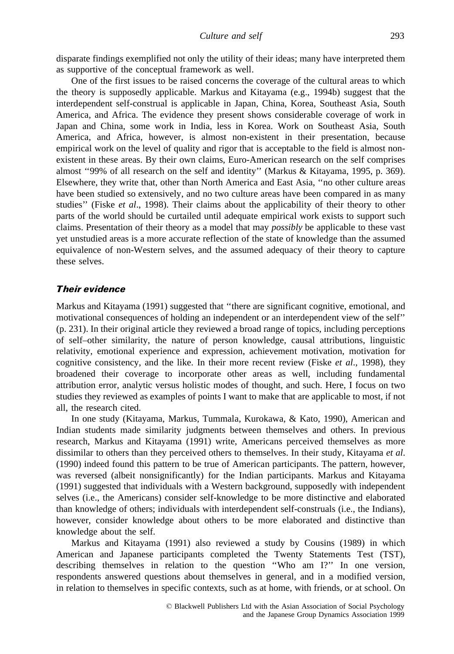disparate findings exemplified not only the utility of their ideas; many have interpreted them as supportive of the conceptual framework as well.

One of the first issues to be raised concerns the coverage of the cultural areas to which the theory is supposedly applicable. Markus and Kitayama (e.g., 1994b) suggest that the interdependent self-construal is applicable in Japan, China, Korea, Southeast Asia, South America, and Africa. The evidence they present shows considerable coverage of work in Japan and China, some work in India, less in Korea. Work on Southeast Asia, South America, and Africa, however, is almost non-existent in their presentation, because empirical work on the level of quality and rigor that is acceptable to the field is almost nonexistent in these areas. By their own claims, Euro-American research on the self comprises almost ''99% of all research on the self and identity'' (Markus & Kitayama, 1995, p. 369). Elsewhere, they write that, other than North America and East Asia, ''no other culture areas have been studied so extensively, and no two culture areas have been compared in as many studies'' (Fiske *et al*., 1998). Their claims about the applicability of their theory to other parts of the world should be curtailed until adequate empirical work exists to support such claims. Presentation of their theory as a model that may *possibly* be applicable to these vast yet unstudied areas is a more accurate reflection of the state of knowledge than the assumed equivalence of non-Western selves, and the assumed adequacy of their theory to capture these selves.

## Their evidence

Markus and Kitayama (1991) suggested that ''there are significant cognitive, emotional, and motivational consequences of holding an independent or an interdependent view of the self'' (p. 231). In their original article they reviewed a broad range of topics, including perceptions of self–other similarity, the nature of person knowledge, causal attributions, linguistic relativity, emotional experience and expression, achievement motivation, motivation for cognitive consistency, and the like. In their more recent review (Fiske *et al*., 1998), they broadened their coverage to incorporate other areas as well, including fundamental attribution error, analytic versus holistic modes of thought, and such. Here, I focus on two studies they reviewed as examples of points I want to make that are applicable to most, if not all, the research cited.

In one study (Kitayama, Markus, Tummala, Kurokawa, & Kato, 1990), American and Indian students made similarity judgments between themselves and others. In previous research, Markus and Kitayama (1991) write, Americans perceived themselves as more dissimilar to others than they perceived others to themselves. In their study, Kitayama *et al*. (1990) indeed found this pattern to be true of American participants. The pattern, however, was reversed (albeit nonsignificantly) for the Indian participants. Markus and Kitayama (1991) suggested that individuals with a Western background, supposedly with independent selves (i.e., the Americans) consider self-knowledge to be more distinctive and elaborated than knowledge of others; individuals with interdependent self-construals (i.e., the Indians), however, consider knowledge about others to be more elaborated and distinctive than knowledge about the self.

Markus and Kitayama (1991) also reviewed a study by Cousins (1989) in which American and Japanese participants completed the Twenty Statements Test (TST), describing themselves in relation to the question "Who am I?" In one version, respondents answered questions about themselves in general, and in a modified version, in relation to themselves in specific contexts, such as at home, with friends, or at school. On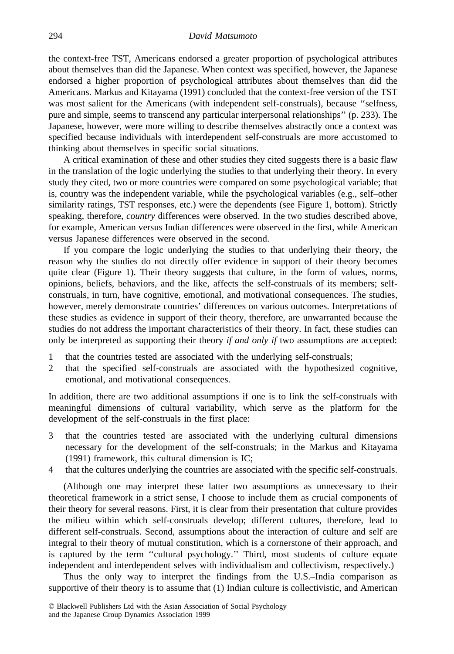the context-free TST, Americans endorsed a greater proportion of psychological attributes about themselves than did the Japanese. When context was specified, however, the Japanese endorsed a higher proportion of psychological attributes about themselves than did the Americans. Markus and Kitayama (1991) concluded that the context-free version of the TST was most salient for the Americans (with independent self-construals), because ''selfness, pure and simple, seems to transcend any particular interpersonal relationships'' (p. 233). The Japanese, however, were more willing to describe themselves abstractly once a context was specified because individuals with interdependent self-construals are more accustomed to thinking about themselves in specific social situations.

A critical examination of these and other studies they cited suggests there is a basic flaw in the translation of the logic underlying the studies to that underlying their theory. In every study they cited, two or more countries were compared on some psychological variable; that is, country was the independent variable, while the psychological variables (e.g., self–other similarity ratings, TST responses, etc.) were the dependents (see Figure 1, bottom). Strictly speaking, therefore, *country* differences were observed. In the two studies described above, for example, American versus Indian differences were observed in the first, while American versus Japanese differences were observed in the second.

If you compare the logic underlying the studies to that underlying their theory, the reason why the studies do not directly offer evidence in support of their theory becomes quite clear (Figure 1). Their theory suggests that culture, in the form of values, norms, opinions, beliefs, behaviors, and the like, affects the self-construals of its members; selfconstruals, in turn, have cognitive, emotional, and motivational consequences. The studies, however, merely demonstrate countries' differences on various outcomes. Interpretations of these studies as evidence in support of their theory, therefore, are unwarranted because the studies do not address the important characteristics of their theory. In fact, these studies can only be interpreted as supporting their theory *if and only if* two assumptions are accepted:

- 1 that the countries tested are associated with the underlying self-construals;
- 2 that the specified self-construals are associated with the hypothesized cognitive, emotional, and motivational consequences.

In addition, there are two additional assumptions if one is to link the self-construals with meaningful dimensions of cultural variability, which serve as the platform for the development of the self-construals in the first place:

- 3 that the countries tested are associated with the underlying cultural dimensions necessary for the development of the self-construals; in the Markus and Kitayama (1991) framework, this cultural dimension is IC;
- 4 that the cultures underlying the countries are associated with the specific self-construals.

(Although one may interpret these latter two assumptions as unnecessary to their theoretical framework in a strict sense, I choose to include them as crucial components of their theory for several reasons. First, it is clear from their presentation that culture provides the milieu within which self-construals develop; different cultures, therefore, lead to different self-construals. Second, assumptions about the interaction of culture and self are integral to their theory of mutual constitution, which is a cornerstone of their approach, and is captured by the term ''cultural psychology.'' Third, most students of culture equate independent and interdependent selves with individualism and collectivism, respectively.)

Thus the only way to interpret the findings from the U.S.–India comparison as supportive of their theory is to assume that (1) Indian culture is collectivistic, and American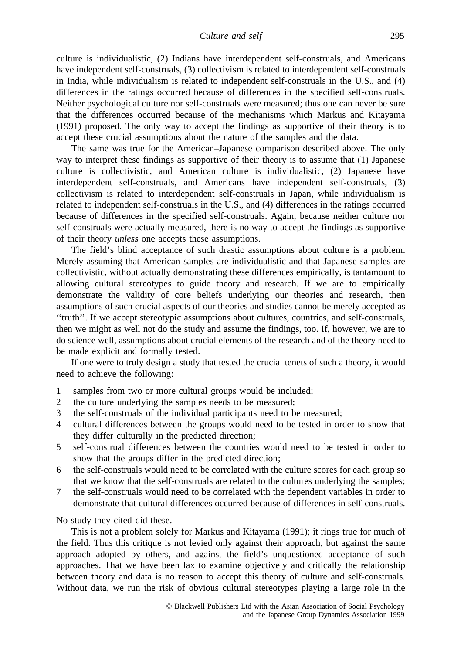culture is individualistic, (2) Indians have interdependent self-construals, and Americans have independent self-construals, (3) collectivism is related to interdependent self-construals in India, while individualism is related to independent self-construals in the U.S., and (4) differences in the ratings occurred because of differences in the specified self-construals. Neither psychological culture nor self-construals were measured; thus one can never be sure that the differences occurred because of the mechanisms which Markus and Kitayama (1991) proposed. The only way to accept the findings as supportive of their theory is to accept these crucial assumptions about the nature of the samples and the data.

The same was true for the American–Japanese comparison described above. The only way to interpret these findings as supportive of their theory is to assume that (1) Japanese culture is collectivistic, and American culture is individualistic, (2) Japanese have interdependent self-construals, and Americans have independent self-construals, (3) collectivism is related to interdependent self-construals in Japan, while individualism is related to independent self-construals in the U.S., and (4) differences in the ratings occurred because of differences in the specified self-construals. Again, because neither culture nor self-construals were actually measured, there is no way to accept the findings as supportive of their theory *unless* one accepts these assumptions.

The field's blind acceptance of such drastic assumptions about culture is a problem. Merely assuming that American samples are individualistic and that Japanese samples are collectivistic, without actually demonstrating these differences empirically, is tantamount to allowing cultural stereotypes to guide theory and research. If we are to empirically demonstrate the validity of core beliefs underlying our theories and research, then assumptions of such crucial aspects of our theories and studies cannot be merely accepted as ''truth''. If we accept stereotypic assumptions about cultures, countries, and self-construals, then we might as well not do the study and assume the findings, too. If, however, we are to do science well, assumptions about crucial elements of the research and of the theory need to be made explicit and formally tested.

If one were to truly design a study that tested the crucial tenets of such a theory, it would need to achieve the following:

- 1 samples from two or more cultural groups would be included;
- 2 the culture underlying the samples needs to be measured;
- 3 the self-construals of the individual participants need to be measured;
- 4 cultural differences between the groups would need to be tested in order to show that they differ culturally in the predicted direction;
- 5 self-construal differences between the countries would need to be tested in order to show that the groups differ in the predicted direction;
- 6 the self-construals would need to be correlated with the culture scores for each group so that we know that the self-construals are related to the cultures underlying the samples;
- 7 the self-construals would need to be correlated with the dependent variables in order to demonstrate that cultural differences occurred because of differences in self-construals.

No study they cited did these.

This is not a problem solely for Markus and Kitayama (1991); it rings true for much of the field. Thus this critique is not levied only against their approach, but against the same approach adopted by others, and against the field's unquestioned acceptance of such approaches. That we have been lax to examine objectively and critically the relationship between theory and data is no reason to accept this theory of culture and self-construals. Without data, we run the risk of obvious cultural stereotypes playing a large role in the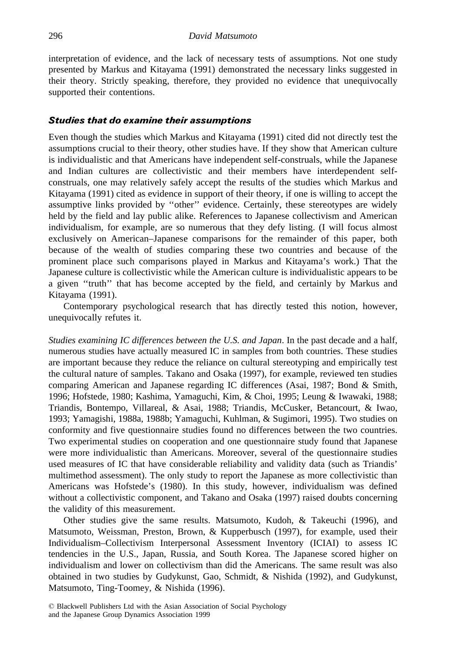interpretation of evidence, and the lack of necessary tests of assumptions. Not one study presented by Markus and Kitayama (1991) demonstrated the necessary links suggested in their theory. Strictly speaking, therefore, they provided no evidence that unequivocally supported their contentions.

### Studies that do examine their assumptions

Even though the studies which Markus and Kitayama (1991) cited did not directly test the assumptions crucial to their theory, other studies have. If they show that American culture is individualistic and that Americans have independent self-construals, while the Japanese and Indian cultures are collectivistic and their members have interdependent selfconstruals, one may relatively safely accept the results of the studies which Markus and Kitayama (1991) cited as evidence in support of their theory, if one is willing to accept the assumptive links provided by ''other'' evidence. Certainly, these stereotypes are widely held by the field and lay public alike. References to Japanese collectivism and American individualism, for example, are so numerous that they defy listing. (I will focus almost exclusively on American–Japanese comparisons for the remainder of this paper, both because of the wealth of studies comparing these two countries and because of the prominent place such comparisons played in Markus and Kitayama's work.) That the Japanese culture is collectivistic while the American culture is individualistic appears to be a given ''truth'' that has become accepted by the field, and certainly by Markus and Kitayama (1991).

Contemporary psychological research that has directly tested this notion, however, unequivocally refutes it.

*Studies examining IC differences between the U.S. and Japan*. In the past decade and a half, numerous studies have actually measured IC in samples from both countries. These studies are important because they reduce the reliance on cultural stereotyping and empirically test the cultural nature of samples. Takano and Osaka (1997), for example, reviewed ten studies comparing American and Japanese regarding IC differences (Asai, 1987; Bond & Smith, 1996; Hofstede, 1980; Kashima, Yamaguchi, Kim, & Choi, 1995; Leung & Iwawaki, 1988; Triandis, Bontempo, Villareal, & Asai, 1988; Triandis, McCusker, Betancourt, & Iwao, 1993; Yamagishi, 1988a, 1988b; Yamaguchi, Kuhlman, & Sugimori, 1995). Two studies on conformity and five questionnaire studies found no differences between the two countries. Two experimental studies on cooperation and one questionnaire study found that Japanese were more individualistic than Americans. Moreover, several of the questionnaire studies used measures of IC that have considerable reliability and validity data (such as Triandis' multimethod assessment). The only study to report the Japanese as more collectivistic than Americans was Hofstede's (1980). In this study, however, individualism was defined without a collectivistic component, and Takano and Osaka (1997) raised doubts concerning the validity of this measurement.

Other studies give the same results. Matsumoto, Kudoh, & Takeuchi (1996), and Matsumoto, Weissman, Preston, Brown, & Kupperbusch (1997), for example, used their Individualism–Collectivism Interpersonal Assessment Inventory (ICIAI) to assess IC tendencies in the U.S., Japan, Russia, and South Korea. The Japanese scored higher on individualism and lower on collectivism than did the Americans. The same result was also obtained in two studies by Gudykunst, Gao, Schmidt, & Nishida (1992), and Gudykunst, Matsumoto, Ting-Toomey, & Nishida (1996).

ß Blackwell Publishers Ltd with the Asian Association of Social Psychology and the Japanese Group Dynamics Association 1999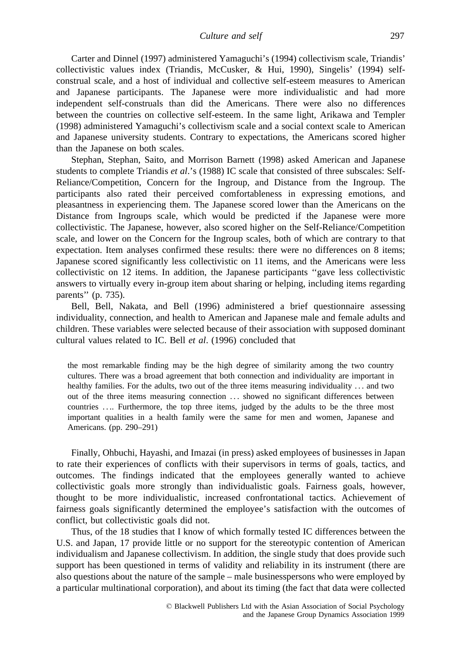Carter and Dinnel (1997) administered Yamaguchi's (1994) collectivism scale, Triandis' collectivistic values index (Triandis, McCusker, & Hui, 1990), Singelis' (1994) selfconstrual scale, and a host of individual and collective self-esteem measures to American and Japanese participants. The Japanese were more individualistic and had more independent self-construals than did the Americans. There were also no differences between the countries on collective self-esteem. In the same light, Arikawa and Templer (1998) administered Yamaguchi's collectivism scale and a social context scale to American and Japanese university students. Contrary to expectations, the Americans scored higher than the Japanese on both scales.

Stephan, Stephan, Saito, and Morrison Barnett (1998) asked American and Japanese students to complete Triandis *et al*.'s (1988) IC scale that consisted of three subscales: Self-Reliance/Competition, Concern for the Ingroup, and Distance from the Ingroup. The participants also rated their perceived comfortableness in expressing emotions, and pleasantness in experiencing them. The Japanese scored lower than the Americans on the Distance from Ingroups scale, which would be predicted if the Japanese were more collectivistic. The Japanese, however, also scored higher on the Self-Reliance/Competition scale, and lower on the Concern for the Ingroup scales, both of which are contrary to that expectation. Item analyses confirmed these results: there were no differences on 8 items; Japanese scored significantly less collectivistic on 11 items, and the Americans were less collectivistic on 12 items. In addition, the Japanese participants ''gave less collectivistic answers to virtually every in-group item about sharing or helping, including items regarding parents'' (p. 735).

Bell, Bell, Nakata, and Bell (1996) administered a brief questionnaire assessing individuality, connection, and health to American and Japanese male and female adults and children. These variables were selected because of their association with supposed dominant cultural values related to IC. Bell *et al*. (1996) concluded that

the most remarkable finding may be the high degree of similarity among the two country cultures. There was a broad agreement that both connection and individuality are important in healthy families. For the adults, two out of the three items measuring individuality . . . and two out of the three items measuring connection . . . showed no significant differences between countries . . .. Furthermore, the top three items, judged by the adults to be the three most important qualities in a health family were the same for men and women, Japanese and Americans. (pp. 290–291)

Finally, Ohbuchi, Hayashi, and Imazai (in press) asked employees of businesses in Japan to rate their experiences of conflicts with their supervisors in terms of goals, tactics, and outcomes. The findings indicated that the employees generally wanted to achieve collectivistic goals more strongly than individualistic goals. Fairness goals, however, thought to be more individualistic, increased confrontational tactics. Achievement of fairness goals significantly determined the employee's satisfaction with the outcomes of conflict, but collectivistic goals did not.

Thus, of the 18 studies that I know of which formally tested IC differences between the U.S. and Japan, 17 provide little or no support for the stereotypic contention of American individualism and Japanese collectivism. In addition, the single study that does provide such support has been questioned in terms of validity and reliability in its instrument (there are also questions about the nature of the sample – male businesspersons who were employed by a particular multinational corporation), and about its timing (the fact that data were collected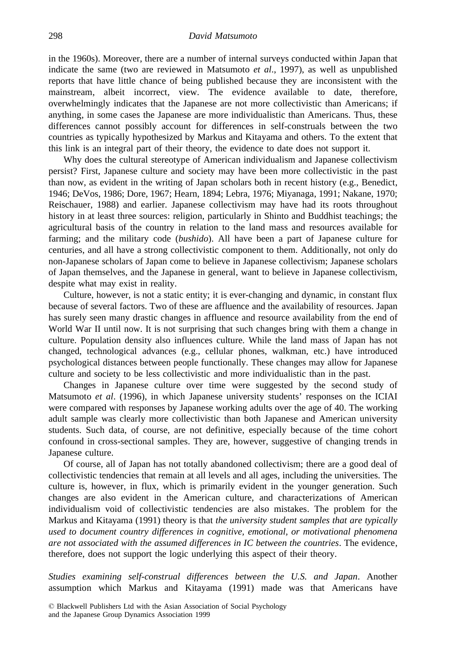in the 1960s). Moreover, there are a number of internal surveys conducted within Japan that indicate the same (two are reviewed in Matsumoto *et al*., 1997), as well as unpublished reports that have little chance of being published because they are inconsistent with the mainstream, albeit incorrect, view. The evidence available to date, therefore, overwhelmingly indicates that the Japanese are not more collectivistic than Americans; if anything, in some cases the Japanese are more individualistic than Americans. Thus, these differences cannot possibly account for differences in self-construals between the two countries as typically hypothesized by Markus and Kitayama and others. To the extent that this link is an integral part of their theory, the evidence to date does not support it.

Why does the cultural stereotype of American individualism and Japanese collectivism persist? First, Japanese culture and society may have been more collectivistic in the past than now, as evident in the writing of Japan scholars both in recent history (e.g., Benedict, 1946; DeVos, 1986; Dore, 1967; Hearn, 1894; Lebra, 1976; Miyanaga, 1991; Nakane, 1970; Reischauer, 1988) and earlier. Japanese collectivism may have had its roots throughout history in at least three sources: religion, particularly in Shinto and Buddhist teachings; the agricultural basis of the country in relation to the land mass and resources available for farming; and the military code (*bushido*). All have been a part of Japanese culture for centuries, and all have a strong collectivistic component to them. Additionally, not only do non-Japanese scholars of Japan come to believe in Japanese collectivism; Japanese scholars of Japan themselves, and the Japanese in general, want to believe in Japanese collectivism, despite what may exist in reality.

Culture, however, is not a static entity; it is ever-changing and dynamic, in constant flux because of several factors. Two of these are affluence and the availability of resources. Japan has surely seen many drastic changes in affluence and resource availability from the end of World War II until now. It is not surprising that such changes bring with them a change in culture. Population density also influences culture. While the land mass of Japan has not changed, technological advances (e.g., cellular phones, walkman, etc.) have introduced psychological distances between people functionally. These changes may allow for Japanese culture and society to be less collectivistic and more individualistic than in the past.

Changes in Japanese culture over time were suggested by the second study of Matsumoto *et al*. (1996), in which Japanese university students' responses on the ICIAI were compared with responses by Japanese working adults over the age of 40. The working adult sample was clearly more collectivistic than both Japanese and American university students. Such data, of course, are not definitive, especially because of the time cohort confound in cross-sectional samples. They are, however, suggestive of changing trends in Japanese culture.

Of course, all of Japan has not totally abandoned collectivism; there are a good deal of collectivistic tendencies that remain at all levels and all ages, including the universities. The culture is, however, in flux, which is primarily evident in the younger generation. Such changes are also evident in the American culture, and characterizations of American individualism void of collectivistic tendencies are also mistakes. The problem for the Markus and Kitayama (1991) theory is that *the university student samples that are typically used to document country differences in cognitive, emotional, or motivational phenomena are not associated with the assumed differences in IC between the countries*. The evidence, therefore, does not support the logic underlying this aspect of their theory.

*Studies examining self-construal differences between the U.S. and Japan*. Another assumption which Markus and Kitayama (1991) made was that Americans have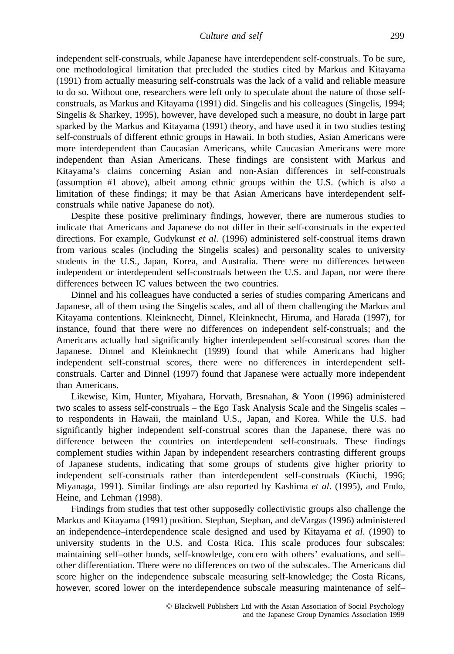independent self-construals, while Japanese have interdependent self-construals. To be sure, one methodological limitation that precluded the studies cited by Markus and Kitayama (1991) from actually measuring self-construals was the lack of a valid and reliable measure to do so. Without one, researchers were left only to speculate about the nature of those selfconstruals, as Markus and Kitayama (1991) did. Singelis and his colleagues (Singelis, 1994; Singelis & Sharkey, 1995), however, have developed such a measure, no doubt in large part sparked by the Markus and Kitayama (1991) theory, and have used it in two studies testing self-construals of different ethnic groups in Hawaii. In both studies, Asian Americans were more interdependent than Caucasian Americans, while Caucasian Americans were more independent than Asian Americans. These findings are consistent with Markus and Kitayama's claims concerning Asian and non-Asian differences in self-construals (assumption #1 above), albeit among ethnic groups within the U.S. (which is also a limitation of these findings; it may be that Asian Americans have interdependent selfconstruals while native Japanese do not).

Despite these positive preliminary findings, however, there are numerous studies to indicate that Americans and Japanese do not differ in their self-construals in the expected directions. For example, Gudykunst *et al*. (1996) administered self-construal items drawn from various scales (including the Singelis scales) and personality scales to university students in the U.S., Japan, Korea, and Australia. There were no differences between independent or interdependent self-construals between the U.S. and Japan, nor were there differences between IC values between the two countries.

Dinnel and his colleagues have conducted a series of studies comparing Americans and Japanese, all of them using the Singelis scales, and all of them challenging the Markus and Kitayama contentions. Kleinknecht, Dinnel, Kleinknecht, Hiruma, and Harada (1997), for instance, found that there were no differences on independent self-construals; and the Americans actually had significantly higher interdependent self-construal scores than the Japanese. Dinnel and Kleinknecht (1999) found that while Americans had higher independent self-construal scores, there were no differences in interdependent selfconstruals. Carter and Dinnel (1997) found that Japanese were actually more independent than Americans.

Likewise, Kim, Hunter, Miyahara, Horvath, Bresnahan, & Yoon (1996) administered two scales to assess self-construals – the Ego Task Analysis Scale and the Singelis scales – to respondents in Hawaii, the mainland U.S., Japan, and Korea. While the U.S. had significantly higher independent self-construal scores than the Japanese, there was no difference between the countries on interdependent self-construals. These findings complement studies within Japan by independent researchers contrasting different groups of Japanese students, indicating that some groups of students give higher priority to independent self-construals rather than interdependent self-construals (Kiuchi, 1996; Miyanaga, 1991). Similar findings are also reported by Kashima *et al*. (1995), and Endo, Heine, and Lehman (1998).

Findings from studies that test other supposedly collectivistic groups also challenge the Markus and Kitayama (1991) position. Stephan, Stephan, and deVargas (1996) administered an independence–interdependence scale designed and used by Kitayama *et al*. (1990) to university students in the U.S. and Costa Rica. This scale produces four subscales: maintaining self–other bonds, self-knowledge, concern with others' evaluations, and self– other differentiation. There were no differences on two of the subscales. The Americans did score higher on the independence subscale measuring self-knowledge; the Costa Ricans, however, scored lower on the interdependence subscale measuring maintenance of self–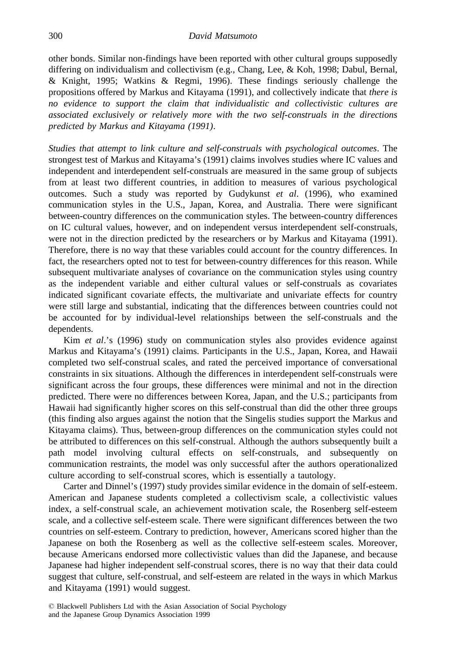other bonds. Similar non-findings have been reported with other cultural groups supposedly differing on individualism and collectivism (e.g., Chang, Lee, & Koh, 1998; Dabul, Bernal, & Knight, 1995; Watkins & Regmi, 1996). These findings seriously challenge the propositions offered by Markus and Kitayama (1991), and collectively indicate that *there is no evidence to support the claim that individualistic and collectivistic cultures are associated exclusively or relatively more with the two self-construals in the directions predicted by Markus and Kitayama (1991)*.

*Studies that attempt to link culture and self-construals with psychological outcomes*. The strongest test of Markus and Kitayama's (1991) claims involves studies where IC values and independent and interdependent self-construals are measured in the same group of subjects from at least two different countries, in addition to measures of various psychological outcomes. Such a study was reported by Gudykunst *et al*. (1996), who examined communication styles in the U.S., Japan, Korea, and Australia. There were significant between-country differences on the communication styles. The between-country differences on IC cultural values, however, and on independent versus interdependent self-construals, were not in the direction predicted by the researchers or by Markus and Kitayama (1991). Therefore, there is no way that these variables could account for the country differences. In fact, the researchers opted not to test for between-country differences for this reason. While subsequent multivariate analyses of covariance on the communication styles using country as the independent variable and either cultural values or self-construals as covariates indicated significant covariate effects, the multivariate and univariate effects for country were still large and substantial, indicating that the differences between countries could not be accounted for by individual-level relationships between the self-construals and the dependents.

Kim *et al*.'s (1996) study on communication styles also provides evidence against Markus and Kitayama's (1991) claims. Participants in the U.S., Japan, Korea, and Hawaii completed two self-construal scales, and rated the perceived importance of conversational constraints in six situations. Although the differences in interdependent self-construals were significant across the four groups, these differences were minimal and not in the direction predicted. There were no differences between Korea, Japan, and the U.S.; participants from Hawaii had significantly higher scores on this self-construal than did the other three groups (this finding also argues against the notion that the Singelis studies support the Markus and Kitayama claims). Thus, between-group differences on the communication styles could not be attributed to differences on this self-construal. Although the authors subsequently built a path model involving cultural effects on self-construals, and subsequently on communication restraints, the model was only successful after the authors operationalized culture according to self-construal scores, which is essentially a tautology.

Carter and Dinnel's (1997) study provides similar evidence in the domain of self-esteem. American and Japanese students completed a collectivism scale, a collectivistic values index, a self-construal scale, an achievement motivation scale, the Rosenberg self-esteem scale, and a collective self-esteem scale. There were significant differences between the two countries on self-esteem. Contrary to prediction, however, Americans scored higher than the Japanese on both the Rosenberg as well as the collective self-esteem scales. Moreover, because Americans endorsed more collectivistic values than did the Japanese, and because Japanese had higher independent self-construal scores, there is no way that their data could suggest that culture, self-construal, and self-esteem are related in the ways in which Markus and Kitayama (1991) would suggest.

ß Blackwell Publishers Ltd with the Asian Association of Social Psychology and the Japanese Group Dynamics Association 1999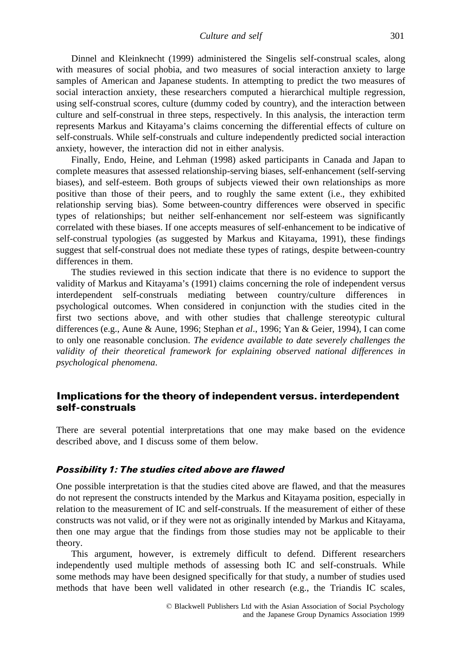*Culture and self* 301

Dinnel and Kleinknecht (1999) administered the Singelis self-construal scales, along with measures of social phobia, and two measures of social interaction anxiety to large samples of American and Japanese students. In attempting to predict the two measures of social interaction anxiety, these researchers computed a hierarchical multiple regression, using self-construal scores, culture (dummy coded by country), and the interaction between culture and self-construal in three steps, respectively. In this analysis, the interaction term represents Markus and Kitayama's claims concerning the differential effects of culture on self-construals. While self-construals and culture independently predicted social interaction anxiety, however, the interaction did not in either analysis.

Finally, Endo, Heine, and Lehman (1998) asked participants in Canada and Japan to complete measures that assessed relationship-serving biases, self-enhancement (self-serving biases), and self-esteem. Both groups of subjects viewed their own relationships as more positive than those of their peers, and to roughly the same extent (i.e., they exhibited relationship serving bias). Some between-country differences were observed in specific types of relationships; but neither self-enhancement nor self-esteem was significantly correlated with these biases. If one accepts measures of self-enhancement to be indicative of self-construal typologies (as suggested by Markus and Kitayama, 1991), these findings suggest that self-construal does not mediate these types of ratings, despite between-country differences in them.

The studies reviewed in this section indicate that there is no evidence to support the validity of Markus and Kitayama's (1991) claims concerning the role of independent versus interdependent self-construals mediating between country/culture differences in psychological outcomes. When considered in conjunction with the studies cited in the first two sections above, and with other studies that challenge stereotypic cultural differences (e.g., Aune & Aune, 1996; Stephan *et al*., 1996; Yan & Geier, 1994), I can come to only one reasonable conclusion. *The evidence available to date severely challenges the validity of their theoretical framework for explaining observed national differences in psychological phenomena*.

## Implications for the theory of independent versus. interdependent self-construals

There are several potential interpretations that one may make based on the evidence described above, and I discuss some of them below.

### Possibility 1: The studies cited above are flawed

One possible interpretation is that the studies cited above are flawed, and that the measures do not represent the constructs intended by the Markus and Kitayama position, especially in relation to the measurement of IC and self-construals. If the measurement of either of these constructs was not valid, or if they were not as originally intended by Markus and Kitayama, then one may argue that the findings from those studies may not be applicable to their theory.

This argument, however, is extremely difficult to defend. Different researchers independently used multiple methods of assessing both IC and self-construals. While some methods may have been designed specifically for that study, a number of studies used methods that have been well validated in other research (e.g., the Triandis IC scales,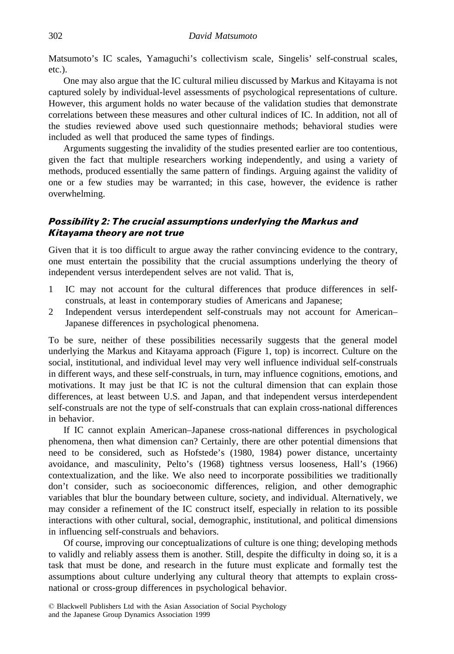Matsumoto's IC scales, Yamaguchi's collectivism scale, Singelis' self-construal scales, etc.).

One may also argue that the IC cultural milieu discussed by Markus and Kitayama is not captured solely by individual-level assessments of psychological representations of culture. However, this argument holds no water because of the validation studies that demonstrate correlations between these measures and other cultural indices of IC. In addition, not all of the studies reviewed above used such questionnaire methods; behavioral studies were included as well that produced the same types of findings.

Arguments suggesting the invalidity of the studies presented earlier are too contentious, given the fact that multiple researchers working independently, and using a variety of methods, produced essentially the same pattern of findings. Arguing against the validity of one or a few studies may be warranted; in this case, however, the evidence is rather overwhelming.

## Possibility 2: The crucial assumptions underlying the Markus and Kitayama theory are not true

Given that it is too difficult to argue away the rather convincing evidence to the contrary, one must entertain the possibility that the crucial assumptions underlying the theory of independent versus interdependent selves are not valid. That is,

- 1 IC may not account for the cultural differences that produce differences in selfconstruals, at least in contemporary studies of Americans and Japanese;
- 2 Independent versus interdependent self-construals may not account for American– Japanese differences in psychological phenomena.

To be sure, neither of these possibilities necessarily suggests that the general model underlying the Markus and Kitayama approach (Figure 1, top) is incorrect. Culture on the social, institutional, and individual level may very well influence individual self-construals in different ways, and these self-construals, in turn, may influence cognitions, emotions, and motivations. It may just be that IC is not the cultural dimension that can explain those differences, at least between U.S. and Japan, and that independent versus interdependent self-construals are not the type of self-construals that can explain cross-national differences in behavior.

If IC cannot explain American–Japanese cross-national differences in psychological phenomena, then what dimension can? Certainly, there are other potential dimensions that need to be considered, such as Hofstede's (1980, 1984) power distance, uncertainty avoidance, and masculinity, Pelto's (1968) tightness versus looseness, Hall's (1966) contextualization, and the like. We also need to incorporate possibilities we traditionally don't consider, such as socioeconomic differences, religion, and other demographic variables that blur the boundary between culture, society, and individual. Alternatively, we may consider a refinement of the IC construct itself, especially in relation to its possible interactions with other cultural, social, demographic, institutional, and political dimensions in influencing self-construals and behaviors.

Of course, improving our conceptualizations of culture is one thing; developing methods to validly and reliably assess them is another. Still, despite the difficulty in doing so, it is a task that must be done, and research in the future must explicate and formally test the assumptions about culture underlying any cultural theory that attempts to explain crossnational or cross-group differences in psychological behavior.

ß Blackwell Publishers Ltd with the Asian Association of Social Psychology and the Japanese Group Dynamics Association 1999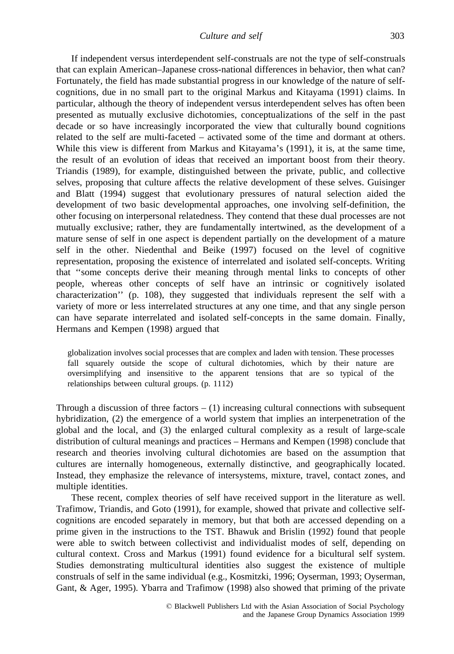If independent versus interdependent self-construals are not the type of self-construals that can explain American–Japanese cross-national differences in behavior, then what can? Fortunately, the field has made substantial progress in our knowledge of the nature of selfcognitions, due in no small part to the original Markus and Kitayama (1991) claims. In particular, although the theory of independent versus interdependent selves has often been presented as mutually exclusive dichotomies, conceptualizations of the self in the past decade or so have increasingly incorporated the view that culturally bound cognitions related to the self are multi-faceted – activated some of the time and dormant at others. While this view is different from Markus and Kitayama's (1991), it is, at the same time, the result of an evolution of ideas that received an important boost from their theory. Triandis (1989), for example, distinguished between the private, public, and collective selves, proposing that culture affects the relative development of these selves. Guisinger and Blatt (1994) suggest that evolutionary pressures of natural selection aided the development of two basic developmental approaches, one involving self-definition, the other focusing on interpersonal relatedness. They contend that these dual processes are not mutually exclusive; rather, they are fundamentally intertwined, as the development of a mature sense of self in one aspect is dependent partially on the development of a mature self in the other. Niedenthal and Beike (1997) focused on the level of cognitive representation, proposing the existence of interrelated and isolated self-concepts. Writing that ''some concepts derive their meaning through mental links to concepts of other people, whereas other concepts of self have an intrinsic or cognitively isolated characterization'' (p. 108), they suggested that individuals represent the self with a variety of more or less interrelated structures at any one time, and that any single person can have separate interrelated and isolated self-concepts in the same domain. Finally, Hermans and Kempen (1998) argued that

globalization involves social processes that are complex and laden with tension. These processes fall squarely outside the scope of cultural dichotomies, which by their nature are oversimplifying and insensitive to the apparent tensions that are so typical of the relationships between cultural groups. (p. 1112)

Through a discussion of three factors  $- (1)$  increasing cultural connections with subsequent hybridization, (2) the emergence of a world system that implies an interpenetration of the global and the local, and (3) the enlarged cultural complexity as a result of large-scale distribution of cultural meanings and practices – Hermans and Kempen (1998) conclude that research and theories involving cultural dichotomies are based on the assumption that cultures are internally homogeneous, externally distinctive, and geographically located. Instead, they emphasize the relevance of intersystems, mixture, travel, contact zones, and multiple identities.

These recent, complex theories of self have received support in the literature as well. Trafimow, Triandis, and Goto (1991), for example, showed that private and collective selfcognitions are encoded separately in memory, but that both are accessed depending on a prime given in the instructions to the TST. Bhawuk and Brislin (1992) found that people were able to switch between collectivist and individualist modes of self, depending on cultural context. Cross and Markus (1991) found evidence for a bicultural self system. Studies demonstrating multicultural identities also suggest the existence of multiple construals of self in the same individual (e.g., Kosmitzki, 1996; Oyserman, 1993; Oyserman, Gant, & Ager, 1995). Ybarra and Trafimow (1998) also showed that priming of the private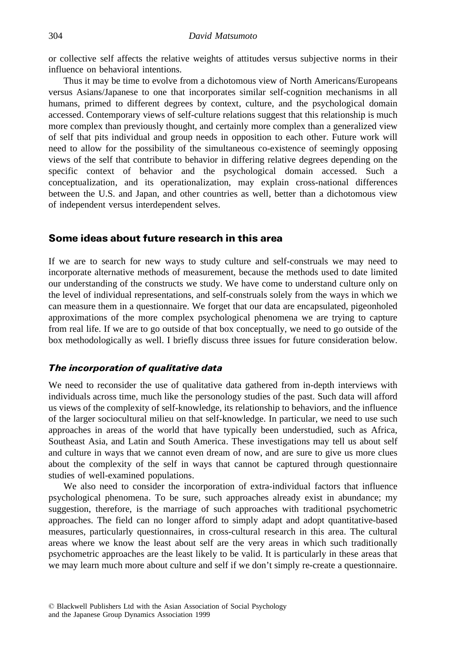or collective self affects the relative weights of attitudes versus subjective norms in their influence on behavioral intentions.

Thus it may be time to evolve from a dichotomous view of North Americans/Europeans versus Asians/Japanese to one that incorporates similar self-cognition mechanisms in all humans, primed to different degrees by context, culture, and the psychological domain accessed. Contemporary views of self-culture relations suggest that this relationship is much more complex than previously thought, and certainly more complex than a generalized view of self that pits individual and group needs in opposition to each other. Future work will need to allow for the possibility of the simultaneous co-existence of seemingly opposing views of the self that contribute to behavior in differing relative degrees depending on the specific context of behavior and the psychological domain accessed. Such a conceptualization, and its operationalization, may explain cross-national differences between the U.S. and Japan, and other countries as well, better than a dichotomous view of independent versus interdependent selves.

## Some ideas about future research in this area

If we are to search for new ways to study culture and self-construals we may need to incorporate alternative methods of measurement, because the methods used to date limited our understanding of the constructs we study. We have come to understand culture only on the level of individual representations, and self-construals solely from the ways in which we can measure them in a questionnaire. We forget that our data are encapsulated, pigeonholed approximations of the more complex psychological phenomena we are trying to capture from real life. If we are to go outside of that box conceptually, we need to go outside of the box methodologically as well. I briefly discuss three issues for future consideration below.

#### The incorporation of qualitative data

We need to reconsider the use of qualitative data gathered from in-depth interviews with individuals across time, much like the personology studies of the past. Such data will afford us views of the complexity of self-knowledge, its relationship to behaviors, and the influence of the larger sociocultural milieu on that self-knowledge. In particular, we need to use such approaches in areas of the world that have typically been understudied, such as Africa, Southeast Asia, and Latin and South America. These investigations may tell us about self and culture in ways that we cannot even dream of now, and are sure to give us more clues about the complexity of the self in ways that cannot be captured through questionnaire studies of well-examined populations.

We also need to consider the incorporation of extra-individual factors that influence psychological phenomena. To be sure, such approaches already exist in abundance; my suggestion, therefore, is the marriage of such approaches with traditional psychometric approaches. The field can no longer afford to simply adapt and adopt quantitative-based measures, particularly questionnaires, in cross-cultural research in this area. The cultural areas where we know the least about self are the very areas in which such traditionally psychometric approaches are the least likely to be valid. It is particularly in these areas that we may learn much more about culture and self if we don't simply re-create a questionnaire.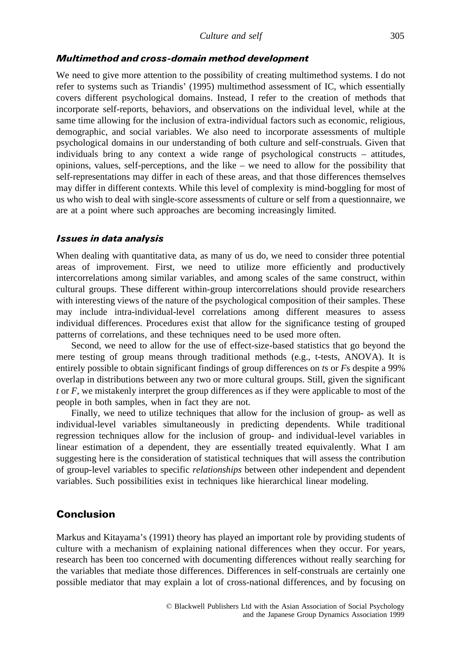#### Multimethod and cross-domain method development

We need to give more attention to the possibility of creating multimethod systems. I do not refer to systems such as Triandis' (1995) multimethod assessment of IC, which essentially covers different psychological domains. Instead, I refer to the creation of methods that incorporate self-reports, behaviors, and observations on the individual level, while at the same time allowing for the inclusion of extra-individual factors such as economic, religious, demographic, and social variables. We also need to incorporate assessments of multiple psychological domains in our understanding of both culture and self-construals. Given that individuals bring to any context a wide range of psychological constructs – attitudes, opinions, values, self-perceptions, and the like – we need to allow for the possibility that self-representations may differ in each of these areas, and that those differences themselves may differ in different contexts. While this level of complexity is mind-boggling for most of us who wish to deal with single-score assessments of culture or self from a questionnaire, we are at a point where such approaches are becoming increasingly limited.

#### Issues in data analysis

When dealing with quantitative data, as many of us do, we need to consider three potential areas of improvement. First, we need to utilize more efficiently and productively intercorrelations among similar variables, and among scales of the same construct, within cultural groups. These different within-group intercorrelations should provide researchers with interesting views of the nature of the psychological composition of their samples. These may include intra-individual-level correlations among different measures to assess individual differences. Procedures exist that allow for the significance testing of grouped patterns of correlations, and these techniques need to be used more often.

Second, we need to allow for the use of effect-size-based statistics that go beyond the mere testing of group means through traditional methods (e.g., t-tests, ANOVA). It is entirely possible to obtain significant findings of group differences on *t*s or *F*s despite a 99% overlap in distributions between any two or more cultural groups. Still, given the significant *t* or *F*, we mistakenly interpret the group differences as if they were applicable to most of the people in both samples, when in fact they are not.

Finally, we need to utilize techniques that allow for the inclusion of group- as well as individual-level variables simultaneously in predicting dependents. While traditional regression techniques allow for the inclusion of group- and individual-level variables in linear estimation of a dependent, they are essentially treated equivalently. What I am suggesting here is the consideration of statistical techniques that will assess the contribution of group-level variables to specific *relationships* between other independent and dependent variables. Such possibilities exist in techniques like hierarchical linear modeling.

#### Conclusion

Markus and Kitayama's (1991) theory has played an important role by providing students of culture with a mechanism of explaining national differences when they occur. For years, research has been too concerned with documenting differences without really searching for the variables that mediate those differences. Differences in self-construals are certainly one possible mediator that may explain a lot of cross-national differences, and by focusing on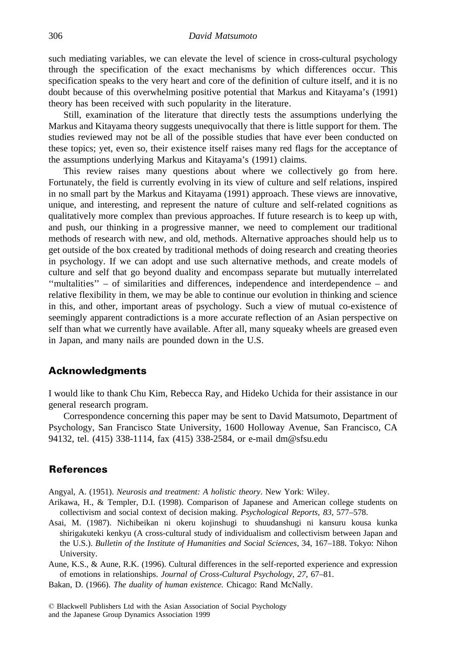such mediating variables, we can elevate the level of science in cross-cultural psychology through the specification of the exact mechanisms by which differences occur. This specification speaks to the very heart and core of the definition of culture itself, and it is no doubt because of this overwhelming positive potential that Markus and Kitayama's (1991) theory has been received with such popularity in the literature.

Still, examination of the literature that directly tests the assumptions underlying the Markus and Kitayama theory suggests unequivocally that there is little support for them. The studies reviewed may not be all of the possible studies that have ever been conducted on these topics; yet, even so, their existence itself raises many red flags for the acceptance of the assumptions underlying Markus and Kitayama's (1991) claims.

This review raises many questions about where we collectively go from here. Fortunately, the field is currently evolving in its view of culture and self relations, inspired in no small part by the Markus and Kitayama (1991) approach. These views are innovative, unique, and interesting, and represent the nature of culture and self-related cognitions as qualitatively more complex than previous approaches. If future research is to keep up with, and push, our thinking in a progressive manner, we need to complement our traditional methods of research with new, and old, methods. Alternative approaches should help us to get outside of the box created by traditional methods of doing research and creating theories in psychology. If we can adopt and use such alternative methods, and create models of culture and self that go beyond duality and encompass separate but mutually interrelated ''multalities'' – of similarities and differences, independence and interdependence – and relative flexibility in them, we may be able to continue our evolution in thinking and science in this, and other, important areas of psychology. Such a view of mutual co-existence of seemingly apparent contradictions is a more accurate reflection of an Asian perspective on self than what we currently have available. After all, many squeaky wheels are greased even in Japan, and many nails are pounded down in the U.S.

## Acknowledgments

I would like to thank Chu Kim, Rebecca Ray, and Hideko Uchida for their assistance in our general research program.

Correspondence concerning this paper may be sent to David Matsumoto, Department of Psychology, San Francisco State University, 1600 Holloway Avenue, San Francisco, CA 94132, tel. (415) 338-1114, fax (415) 338-2584, or e-mail dm@sfsu.edu

#### References

Angyal, A. (1951). *Neurosis and treatment: A holistic theory*. New York: Wiley.

- Arikawa, H., & Templer, D.I. (1998). Comparison of Japanese and American college students on collectivism and social context of decision making. *Psychological Reports, 83*, 577–578.
- Asai, M. (1987). Nichibeikan ni okeru kojinshugi to shuudanshugi ni kansuru kousa kunka shirigakuteki kenkyu (A cross-cultural study of individualism and collectivism between Japan and the U.S.). *Bulletin of the Institute of Humanities and Social Sciences*, 34, 167–188. Tokyo: Nihon University.

Aune, K.S., & Aune, R.K. (1996). Cultural differences in the self-reported experience and expression of emotions in relationships. *Journal of Cross-Cultural Psychology, 27*, 67–81.

Bakan, D. (1966). *The duality of human existence.* Chicago: Rand McNally.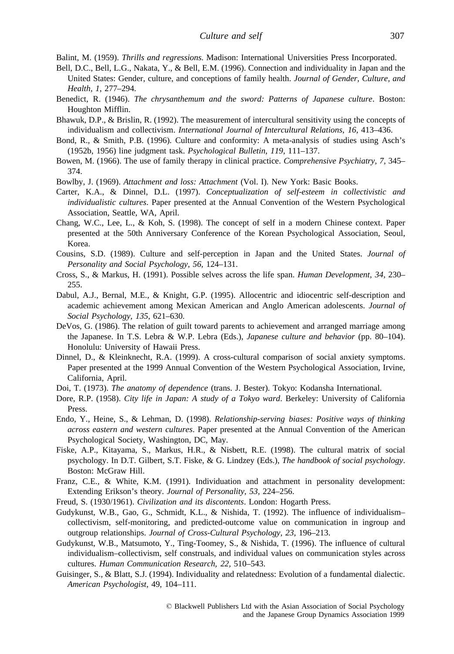Balint, M. (1959). *Thrills and regressions*. Madison: International Universities Press Incorporated.

- Bell, D.C., Bell, L.G., Nakata, Y., & Bell, E.M. (1996). Connection and individuality in Japan and the United States: Gender, culture, and conceptions of family health. *Journal of Gender, Culture, and Health, 1*, 277–294.
- Benedict, R. (1946). *The chrysanthemum and the sword: Patterns of Japanese culture*. Boston: Houghton Mifflin.
- Bhawuk, D.P., & Brislin, R. (1992). The measurement of intercultural sensitivity using the concepts of individualism and collectivism. *International Journal of Intercultural Relations, 16,* 413–436.
- Bond, R., & Smith, P.B. (1996). Culture and conformity: A meta-analysis of studies using Asch's (1952b, 1956) line judgment task. *Psychological Bulletin, 119,* 111–137.
- Bowen, M. (1966). The use of family therapy in clinical practice. *Comprehensive Psychiatry, 7,* 345– 374.
- Bowlby, J. (1969). *Attachment and loss: Attachment* (Vol. I). New York: Basic Books.
- Carter, K.A., & Dinnel, D.L. (1997). *Conceptualization of self-esteem in collectivistic and individualistic cultures*. Paper presented at the Annual Convention of the Western Psychological Association, Seattle, WA, April.
- Chang, W.C., Lee, L., & Koh, S. (1998). The concept of self in a modern Chinese context. Paper presented at the 50th Anniversary Conference of the Korean Psychological Association, Seoul, Korea.
- Cousins, S.D. (1989). Culture and self-perception in Japan and the United States. *Journal of Personality and Social Psychology, 56,* 124–131.
- Cross, S., & Markus, H. (1991). Possible selves across the life span. *Human Development, 34,* 230– 255.
- Dabul, A.J., Bernal, M.E., & Knight, G.P. (1995). Allocentric and idiocentric self-description and academic achievement among Mexican American and Anglo American adolescents. *Journal of Social Psychology, 135,* 621–630.
- DeVos, G. (1986). The relation of guilt toward parents to achievement and arranged marriage among the Japanese. In T.S. Lebra & W.P. Lebra (Eds.), *Japanese culture and behavior* (pp. 80–104). Honolulu: University of Hawaii Press.
- Dinnel, D., & Kleinknecht, R.A. (1999). A cross-cultural comparison of social anxiety symptoms. Paper presented at the 1999 Annual Convention of the Western Psychological Association, Irvine, California, April.
- Doi, T. (1973). *The anatomy of dependence* (trans. J. Bester). Tokyo: Kodansha International.
- Dore, R.P. (1958). *City life in Japan: A study of a Tokyo ward*. Berkeley: University of California Press.
- Endo, Y., Heine, S., & Lehman, D. (1998). *Relationship-serving biases: Positive ways of thinking across eastern and western cultures*. Paper presented at the Annual Convention of the American Psychological Society, Washington, DC, May.
- Fiske, A.P., Kitayama, S., Markus, H.R., & Nisbett, R.E. (1998). The cultural matrix of social psychology. In D.T. Gilbert, S.T. Fiske, & G. Lindzey (Eds.), *The handbook of social psychology*. Boston: McGraw Hill.
- Franz, C.E., & White, K.M. (1991). Individuation and attachment in personality development: Extending Erikson's theory. *Journal of Personality, 53,* 224–256.
- Freud, S. (1930/1961). *Civilization and its discontents*. London: Hogarth Press.
- Gudykunst, W.B., Gao, G., Schmidt, K.L., & Nishida, T. (1992). The influence of individualism– collectivism, self-monitoring, and predicted-outcome value on communication in ingroup and outgroup relationships. *Journal of Cross-Cultural Psychology, 23,* 196–213.
- Gudykunst, W.B., Matsumoto, Y., Ting-Toomey, S., & Nishida, T. (1996). The influence of cultural individualism–collectivism, self construals, and individual values on communication styles across cultures. *Human Communication Research, 22,* 510–543.
- Guisinger, S., & Blatt, S.J. (1994). Individuality and relatedness: Evolution of a fundamental dialectic. *American Psychologist*, 49, 104–111.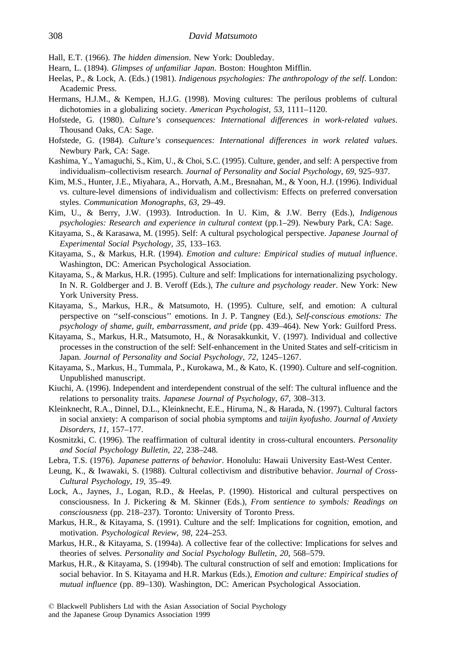Hall, E.T. (1966). *The hidden dimension*. New York: Doubleday.

- Hearn, L. (1894). *Glimpses of unfamiliar Japan*. Boston: Houghton Mifflin.
- Heelas, P., & Lock, A. (Eds.) (1981). *Indigenous psychologies: The anthropology of the self*. London: Academic Press.
- Hermans, H.J.M., & Kempen, H.J.G. (1998). Moving cultures: The perilous problems of cultural dichotomies in a globalizing society. *American Psychologist, 53,* 1111–1120.
- Hofstede, G. (1980). *Culture's consequences: International differences in work-related values*. Thousand Oaks, CA: Sage.
- Hofstede, G. (1984). *Culture's consequences: International differences in work related values*. Newbury Park, CA: Sage.
- Kashima, Y., Yamaguchi, S., Kim, U., & Choi, S.C. (1995). Culture, gender, and self: A perspective from individualism–collectivism research. *Journal of Personality and Social Psychology, 69,* 925–937.
- Kim, M.S., Hunter, J.E., Miyahara, A., Horvath, A.M., Bresnahan, M., & Yoon, H.J. (1996). Individual vs. culture-level dimensions of individualism and collectivism: Effects on preferred conversation styles. *Communication Monographs, 63*, 29–49.
- Kim, U., & Berry, J.W. (1993). Introduction. In U. Kim, & J.W. Berry (Eds.), *Indigenous psychologies: Research and experience in cultural context* (pp.1–29). Newbury Park, CA: Sage.
- Kitayama, S., & Karasawa, M. (1995). Self: A cultural psychological perspective. *Japanese Journal of Experimental Social Psychology, 35*, 133–163.
- Kitayama, S., & Markus, H.R. (1994). *Emotion and culture: Empirical studies of mutual influence*. Washington, DC: American Psychological Association.
- Kitayama, S., & Markus, H.R. (1995). Culture and self: Implications for internationalizing psychology. In N. R. Goldberger and J. B. Veroff (Eds.), *The culture and psychology reader*. New York: New York University Press.
- Kitayama, S., Markus, H.R., & Matsumoto, H. (1995). Culture, self, and emotion: A cultural perspective on ''self-conscious'' emotions. In J. P. Tangney (Ed.), *Self-conscious emotions: The psychology of shame, guilt, embarrassment, and pride* (pp. 439–464). New York: Guilford Press.
- Kitayama, S., Markus, H.R., Matsumoto, H., & Norasakkunkit, V. (1997). Individual and collective processes in the construction of the self: Self-enhancement in the United States and self-criticism in Japan. *Journal of Personality and Social Psychology, 72*, 1245–1267.
- Kitayama, S., Markus, H., Tummala, P., Kurokawa, M., & Kato, K. (1990). Culture and self-cognition. Unpublished manuscript.
- Kiuchi, A. (1996). Independent and interdependent construal of the self: The cultural influence and the relations to personality traits. *Japanese Journal of Psychology, 67,* 308–313.
- Kleinknecht, R.A., Dinnel, D.L., Kleinknecht, E.E., Hiruma, N., & Harada, N. (1997). Cultural factors in social anxiety: A comparison of social phobia symptoms and *taijin kyofusho*. *Journal of Anxiety Disorders, 11*, 157–177.
- Kosmitzki, C. (1996). The reaffirmation of cultural identity in cross-cultural encounters. *Personality and Social Psychology Bulletin, 22,* 238–248.
- Lebra, T.S. (1976). *Japanese patterns of behavior*. Honolulu: Hawaii University East-West Center.
- Leung, K., & Iwawaki, S. (1988). Cultural collectivism and distributive behavior. *Journal of Cross-Cultural Psychology, 19,* 35–49.
- Lock, A., Jaynes, J., Logan, R.D., & Heelas, P. (1990). Historical and cultural perspectives on consciousness. In J. Pickering & M. Skinner (Eds.), *From sentience to symbols: Readings on consciousness* (pp. 218–237). Toronto: University of Toronto Press.
- Markus, H.R., & Kitayama, S. (1991). Culture and the self: Implications for cognition, emotion, and motivation. *Psychological Review, 98,* 224–253.
- Markus, H.R., & Kitayama, S. (1994a). A collective fear of the collective: Implications for selves and theories of selves. *Personality and Social Psychology Bulletin, 20*, 568–579.
- Markus, H.R., & Kitayama, S. (1994b). The cultural construction of self and emotion: Implications for social behavior. In S. Kitayama and H.R. Markus (Eds.), *Emotion and culture: Empirical studies of mutual influence* (pp. 89–130). Washington, DC: American Psychological Association.

ß Blackwell Publishers Ltd with the Asian Association of Social Psychology and the Japanese Group Dynamics Association 1999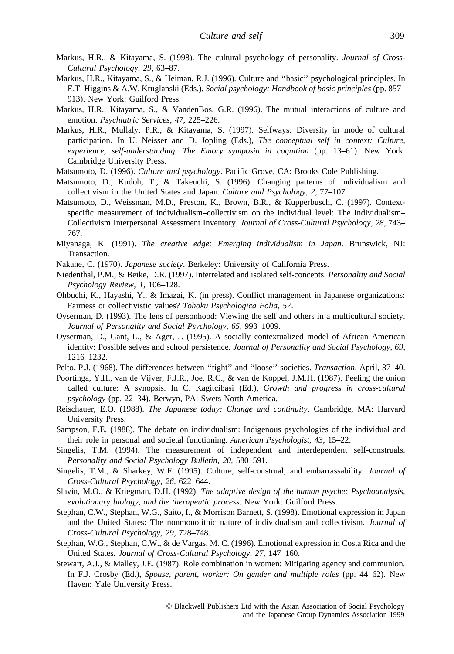- Markus, H.R., & Kitayama, S. (1998). The cultural psychology of personality. *Journal of Cross-Cultural Psychology, 29*, 63–87.
- Markus, H.R., Kitayama, S., & Heiman, R.J. (1996). Culture and ''basic'' psychological principles. In E.T. Higgins & A.W. Kruglanski (Eds.), *Social psychology: Handbook of basic principles* (pp. 857– 913). New York: Guilford Press.
- Markus, H.R., Kitayama, S., & VandenBos, G.R. (1996). The mutual interactions of culture and emotion. *Psychiatric Services, 47*, 225–226.
- Markus, H.R., Mullaly, P.R., & Kitayama, S. (1997). Selfways: Diversity in mode of cultural participation. In U. Neisser and D. Jopling (Eds.), *The conceptual self in context: Culture, experience, self-understanding. The Emory symposia in cognition* (pp. 13–61). New York: Cambridge University Press.
- Matsumoto, D. (1996). *Culture and psychology*. Pacific Grove, CA: Brooks Cole Publishing.
- Matsumoto, D., Kudoh, T., & Takeuchi, S. (1996). Changing patterns of individualism and collectivism in the United States and Japan. *Culture and Psychology, 2,* 77–107.
- Matsumoto, D., Weissman, M.D., Preston, K., Brown, B.R., & Kupperbusch, C. (1997). Contextspecific measurement of individualism–collectivism on the individual level: The Individualism– Collectivism Interpersonal Assessment Inventory. *Journal of Cross-Cultural Psychology, 28,* 743– 767.
- Miyanaga, K. (1991). *The creative edge: Emerging individualism in Japan*. Brunswick, NJ: Transaction.
- Nakane, C. (1970). *Japanese society*. Berkeley: University of California Press.
- Niedenthal, P.M., & Beike, D.R. (1997). Interrelated and isolated self-concepts. *Personality and Social Psychology Review, 1*, 106–128.
- Ohbuchi, K., Hayashi, Y., & Imazai, K. (in press). Conflict management in Japanese organizations: Fairness or collectivistic values? *Tohoku Psychologica Folia, 57*.
- Oyserman, D. (1993). The lens of personhood: Viewing the self and others in a multicultural society. *Journal of Personality and Social Psychology, 65,* 993–1009.
- Oyserman, D., Gant, L., & Ager, J. (1995). A socially contextualized model of African American identity: Possible selves and school persistence. *Journal of Personality and Social Psychology, 69,* 1216–1232.
- Pelto, P.J. (1968). The differences between ''tight'' and ''loose'' societies. *Transaction*, April, 37–40.
- Poortinga, Y.H., van de Vijver, F.J.R., Joe, R.C., & van de Koppel, J.M.H. (1987). Peeling the onion called culture: A synopsis. In C. Kagitcibasi (Ed.), *Growth and progress in cross-cultural psychology* (pp. 22–34). Berwyn, PA: Swets North America.
- Reischauer, E.O. (1988). *The Japanese today: Change and continuity*. Cambridge, MA: Harvard University Press.
- Sampson, E.E. (1988). The debate on individualism: Indigenous psychologies of the individual and their role in personal and societal functioning. *American Psychologist, 43,* 15–22.
- Singelis, T.M. (1994). The measurement of independent and interdependent self-construals. *Personality and Social Psychology Bulletin, 20,* 580–591.
- Singelis, T.M., & Sharkey, W.F. (1995). Culture, self-construal, and embarrassability. *Journal of Cross-Cultural Psychology, 26,* 622–644.
- Slavin, M.O., & Kriegman, D.H. (1992). *The adaptive design of the human psyche: Psychoanalysis, evolutionary biology, and the therapeutic process*. New York: Guilford Press.
- Stephan, C.W., Stephan, W.G., Saito, I., & Morrison Barnett, S. (1998). Emotional expression in Japan and the United States: The nonmonolithic nature of individualism and collectivism. *Journal of Cross-Cultural Psychology, 29*, 728–748.
- Stephan, W.G., Stephan, C.W., & de Vargas, M. C. (1996). Emotional expression in Costa Rica and the United States. *Journal of Cross-Cultural Psychology, 27,* 147–160.
- Stewart, A.J., & Malley, J.E. (1987). Role combination in women: Mitigating agency and communion. In F.J. Crosby (Ed.), *Spouse, parent, worker: On gender and multiple roles* (pp. 44–62). New Haven: Yale University Press.